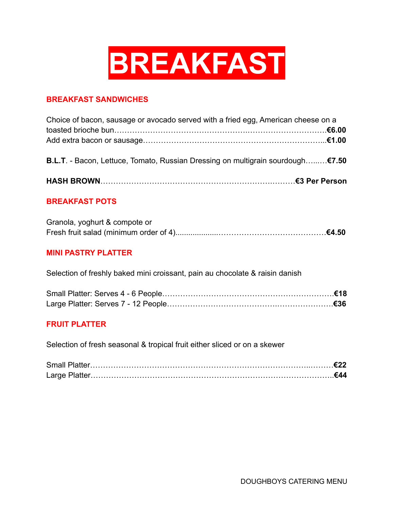

### **BREAKFAST SANDWICHES**

| Choice of bacon, sausage or avocado served with a fried egg, American cheese on a |  |
|-----------------------------------------------------------------------------------|--|
|                                                                                   |  |
|                                                                                   |  |
|                                                                                   |  |
| B.L.T. - Bacon, Lettuce, Tomato, Russian Dressing on multigrain sourdough€7.50    |  |
|                                                                                   |  |
|                                                                                   |  |
|                                                                                   |  |

### **BREAKFAST POTS**

| Granola, yoghurt & compote or |  |
|-------------------------------|--|
|                               |  |

### **MINI PASTRY PLATTER**

Selection of freshly baked mini croissant, pain au chocolate & raisin danish

#### **FRUIT PLATTER**

Selection of fresh seasonal & tropical fruit either sliced or on a skewer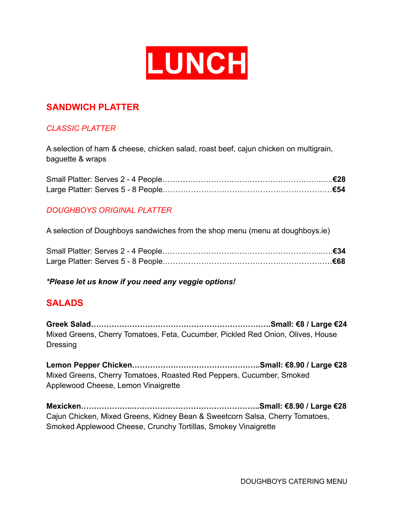

## **SANDWICH PLATTER**

## *CLASSIC PLATTER*

A selection of ham & cheese, chicken salad, roast beef, cajun chicken on multigrain, baguette & wraps

## *DOUGHBOYS ORIGINAL PLATTER*

A selection of Doughboys sandwiches from the shop menu (menu at doughboys.ie)

*\*Please let us know if you need any veggie options!*

## **SALADS**

**Greek Salad…………………………………………………………….Small: €8 / Large €24** Mixed Greens, Cherry Tomatoes, Feta, Cucumber, Pickled Red Onion, Olives, House Dressing

**Lemon Pepper Chicken…………………………………………..Small: €8.90 / Large €28** Mixed Greens, Cherry Tomatoes, Roasted Red Peppers, Cucumber, Smoked Applewood Cheese, Lemon Vinaigrette

**Mexicken………………..…………………………………………..Small: €8.90 / Large €28** Cajun Chicken, Mixed Greens, Kidney Bean & Sweetcorn Salsa, Cherry Tomatoes, Smoked Applewood Cheese, Crunchy Tortillas, Smokey Vinaigrette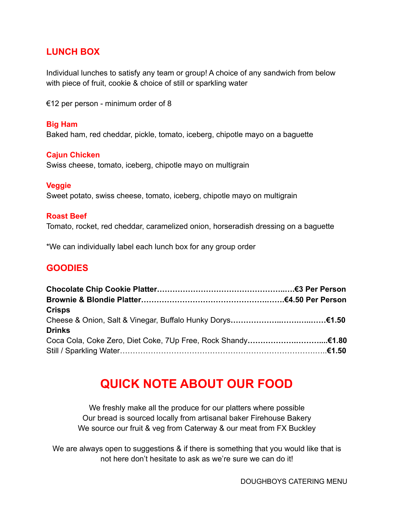## **LUNCH BOX**

Individual lunches to satisfy any team or group! A choice of any sandwich from below with piece of fruit, cookie & choice of still or sparkling water

€12 per person - minimum order of 8

## **Big Ham**

Baked ham, red cheddar, pickle, tomato, iceberg, chipotle mayo on a baguette

### **Cajun Chicken**

Swiss cheese, tomato, iceberg, chipotle mayo on multigrain

#### **Veggie**

Sweet potato, swiss cheese, tomato, iceberg, chipotle mayo on multigrain

#### **Roast Beef**

Tomato, rocket, red cheddar, caramelized onion, horseradish dressing on a baguette

\*We can individually label each lunch box for any group order

## **GOODIES**

| <b>Crisps</b> |  |
|---------------|--|
|               |  |
| <b>Drinks</b> |  |
|               |  |
|               |  |

# **QUICK NOTE ABOUT OUR FOOD**

We freshly make all the produce for our platters where possible Our bread is sourced locally from artisanal baker Firehouse Bakery We source our fruit & veg from Caterway & our meat from FX Buckley

We are always open to suggestions & if there is something that you would like that is not here don't hesitate to ask as we're sure we can do it!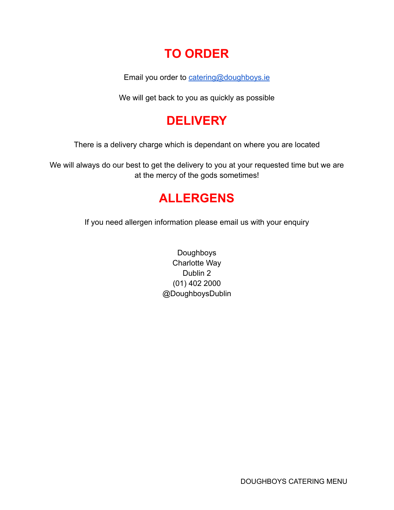# **TO ORDER**

Email you order to [catering@doughboys.ie](mailto:catering@doughboys.ie)

We will get back to you as quickly as possible

# **DELIVERY**

There is a delivery charge which is dependant on where you are located

We will always do our best to get the delivery to you at your requested time but we are at the mercy of the gods sometimes!

# **ALLERGENS**

If you need allergen information please email us with your enquiry

Doughboys Charlotte Way Dublin 2 (01) 402 2000 @DoughboysDublin